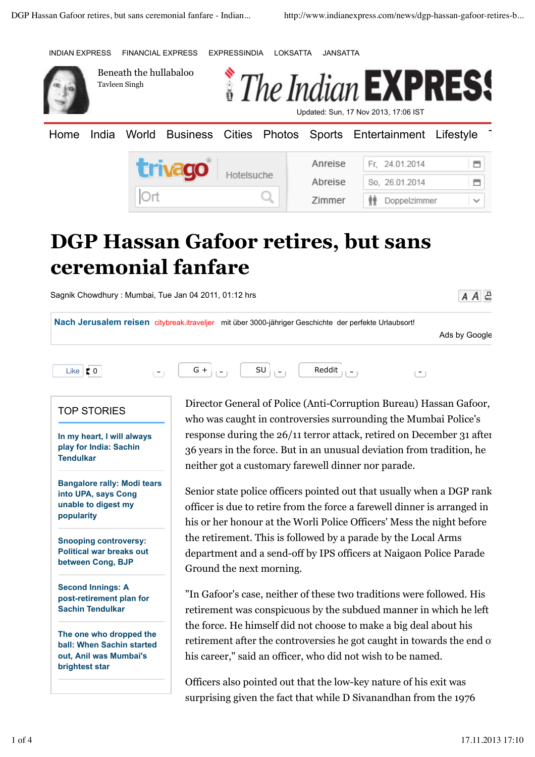INDIAN EXPRESS FINANCIAL EXPRESS EXPRESSINDIA LOKSATTA JANSATTA



Beneath the hullabaloo Tavleen Singh



Home India World Business Cities Photos Sports Entertainment Lifestyle Anreise Fr. 24.01.2014 曽 *<b>GCC* Hotelsuche Abreise So. 26.01.2014 首 Zimmer Doppelzimmer

## **DGP Hassan Gafoor retires, but sans ceremonial fanfare**

Sagnik Chowdhury : Mumbai, Tue Jan 04 2011, 01:12 hrs

**Nach Jerusalem reisen** citybreak.itraveljer mit über 3000-jähriger Geschichte der perfekte Urlaubsort!

Ads by Google

 $A A \in$ 



## TOP STORIES

**In my heart, I will always play for India: Sachin Tendulkar**

**Bangalore rally: Modi tears into UPA, says Cong unable to digest my popularity**

**Snooping controversy: Political war breaks out between Cong, BJP**

**Second Innings: A post-retirement plan for Sachin Tendulkar**

**The one who dropped the ball: When Sachin started out, Anil was Mumbai's brightest star**

Director General of Police (Anti-Corruption Bureau) Hassan Gafoor, who was caught in controversies surrounding the Mumbai Police's response during the 26/11 terror attack, retired on December 31 after 36 years in the force. But in an unusual deviation from tradition, he neither got a customary farewell dinner nor parade.

Senior state police officers pointed out that usually when a DGP rank officer is due to retire from the force a farewell dinner is arranged in his or her honour at the Worli Police Officers' Mess the night before the retirement. This is followed by a parade by the Local Arms department and a send-off by IPS officers at Naigaon Police Parade Ground the next morning.

"In Gafoor's case, neither of these two traditions were followed. His retirement was conspicuous by the subdued manner in which he left the force. He himself did not choose to make a big deal about his retirement after the controversies he got caught in towards the end of his career," said an officer, who did not wish to be named.

Officers also pointed out that the low-key nature of his exit was surprising given the fact that while D Sivanandhan from the 1976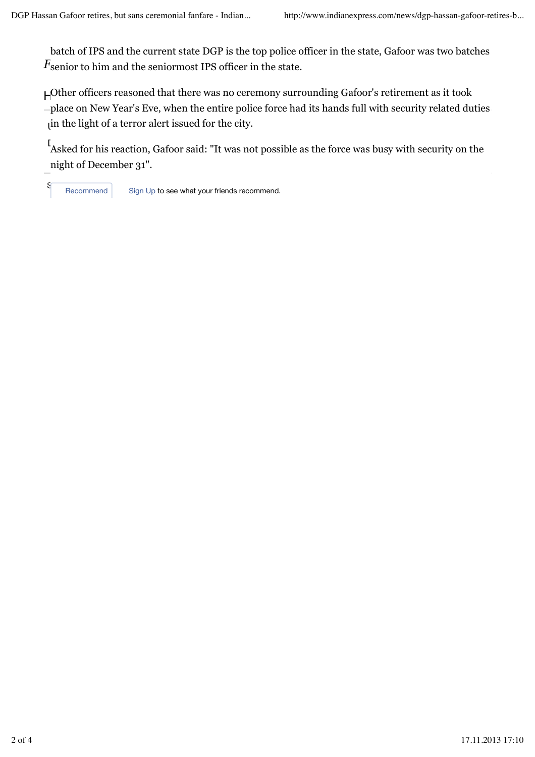$F_{\rm senior}$  to him and the seniormost IPS officer in the state. batch of IPS and the current state DGP is the top police officer in the state, Gafoor was two batches

 $\mu$  in the light of a terror alert issued for the city. HOT TOPICS Other officers reasoned that there was no ceremony surrounding Gafoor's retirement as it took place on New Year's Eve, when the entire police force had its hands full with security related duties

I<br>Asked for his reaction, Gafoor said: "It was not possible as the force was busy with security on the night of December 31".

S<br>Recommend Sign Up to see what your friends recommend.